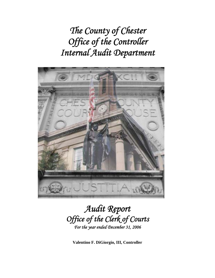*The County of Chester Office of the Controller Internal Audit Department* 



# *Audit Report Office of the Clerk of Courts For the year ended December 31, 2006*

**Valentino F. DiGiorgio, III, Controller**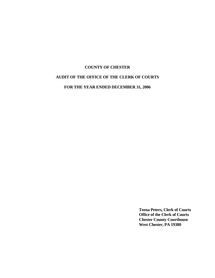# **COUNTY OF CHESTER AUDIT OF THE OFFICE OF THE CLERK OF COURTS**

**FOR THE YEAR ENDED DECEMBER 31, 2006** 

**Teena Peters, Clerk of Courts Office of the Clerk of Courts Chester County Courthouse West Chester, PA 19380**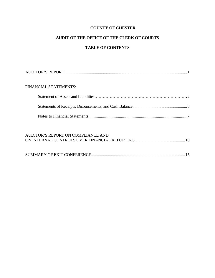# **AUDIT OF THE OFFICE OF THE CLERK OF COURTS**

# **TABLE OF CONTENTS**

| <b>FINANCIAL STATEMENTS:</b> |  |
|------------------------------|--|
|                              |  |
|                              |  |
|                              |  |

| AUDITOR'S REPORT ON COMPLIANCE AND |  |
|------------------------------------|--|
|                                    |  |
|                                    |  |
|                                    |  |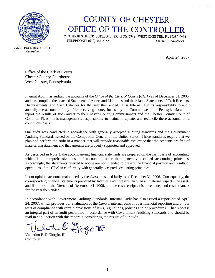

# **COUNTY OF CHESTER** OFFICE OF THE CONTROLLER

2 N. HIGH STREET, SUITE 540, P.O. BOX 2748, WEST CHESTER, PA 19380-0991 TELEPHONE: (610) 344-6155 FAX: (610) 344-6750

April 24, 2007

VALENTINO F. DIGIORGIO, III Controller

> Office of the Clerk of Courts Chester County Courthouse West Chester, Pennsylvania

Internal Audit has audited the accounts of the *Office of the Clerk of Courts* (*Clerk*) as of December 31, 2006, and has compiled the attached Statement of Assets and Liabilities and the related Statements of Cash Receipts, Disbursements, and Cash Balances for the year then ended. It is Internal Audit's responsibility to audit annually the accounts of any office receiving money for use by the Commonwealth of Pennsylvania and to report the results of such audits to the Chester County Commissioners and the Chester County Court of Common Pleas. It is management's responsibility to maintain, update, and reconcile these accounts on a continuous basis.

Our audit was conducted in accordance with generally accepted auditing standards and the Government Auditing Standards issued by the Comptroller General of the United States. Those standards require that we plan and perform the audit in a manner that will provide *reasonable assurance* that the accounts are free of material misstatement and that amounts are properly supported and approved.

As described in Note 1, the accompanying financial statements are prepared on the cash basis of accounting, which is a comprehensive basis of accounting other than generally accepted accounting principles. Accordingly, the statements referred to above are not intended to present the financial position and results of operations of the *Clerk* in conformity with generally accepted accounting principles.

In our opinion, accounts maintained by the *Clerk* are stated fairly as of December 31, 2006. Consequently, the corresponding financial statements prepared by Internal Audit present fairly, in all material respects, the assets and liabilities of the *Clerk* as of December 31, 2006, and the cash receipts, disbursements, and cash balances for the year then ended.

In accordance with Government Auditing Standards, Internal Audit has also issued a report dated April 24, 2007, which provides our evaluation of the *Clerk's* internal control over financial reporting and on our tests of compliance with certain provisions of laws, regulations, policies and/or procedures. That report is an integral part of an audit performed in accordance with Government Auditing Standards and should be read in conjunction with this report in considering the results of our audit.

Valent D. Liggio F

**Controller**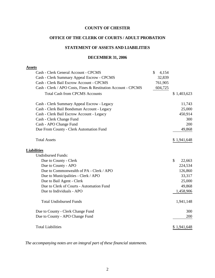# **OFFICE OF THE CLERK OF COURTS / ADULT PROBATION**

# **STATEMENT OF ASSETS AND LIABILITIES**

#### **DECEMBER 31, 2006**

| Cash - Clerk General Account - CPCMS<br>\$<br>4,154                      |              |
|--------------------------------------------------------------------------|--------------|
| 32,839<br>Cash - Clerk Summary Appeal Escrow - CPCMS                     |              |
| Cash - Clerk Bail Escrow Account - CPCMS<br>761,905                      |              |
| Cash - Clerk / APO Costs, Fines & Restitution Account - CPCMS<br>604,725 |              |
| <b>Total Cash from CPCMS Accounts</b>                                    | \$1,403,623  |
| Cash - Clerk Summary Appeal Escrow - Legacy                              | 11,743       |
| Cash - Clerk Bail Bondsman Account - Legacy                              | 25,000       |
| Cash - Clerk Bail Escrow Account - Legacy                                | 450,914      |
| Cash - Clerk Change Fund                                                 | 300          |
| Cash - APO Change Fund                                                   | 200          |
| Due From County - Clerk Automation Fund                                  | 49,868       |
| <b>Total Assets</b>                                                      | \$1,941,648  |
| <b>Liabilities</b>                                                       |              |
| <b>Undisbursed Funds:</b>                                                |              |
| Due to County - Clerk                                                    | \$<br>22,663 |
| Due to County - APO                                                      | 224,534      |
| Due to Commonwealth of PA - Clerk / APO                                  | 126,860      |
| Due to Municipalities - Clerk / APO                                      | 33,317       |
| Due to Bail Agent - Clerk                                                | 25,000       |
| Due to Clerk of Courts - Automation Fund                                 | 49,868       |
| Due to Individuals - APO                                                 | 1,458,906    |
| <b>Total Undisbursed Funds</b>                                           | 1,941,148    |
| Due to County - Clerk Change Fund                                        | 300          |
| Due to County - APO Change Fund                                          | 200          |
| <b>Total Liabilities</b>                                                 | \$1,941,648  |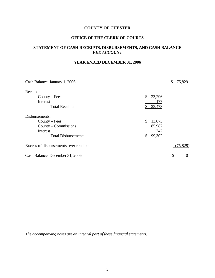# **OFFICE OF THE CLERK OF COURTS**

# **STATEMENT OF CASH RECEIPTS, DISBURSEMENTS, AND CASH BALANCE**  *FEE ACCOUNT*

# **YEAR ENDED DECEMBER 31, 2006**

| Cash Balance, January 1, 2006         |              | \$<br>75,829 |
|---------------------------------------|--------------|--------------|
| Receipts:                             |              |              |
| $Country - Fees$                      | \$<br>23,296 |              |
| Interest                              | 177          |              |
| <b>Total Receipts</b>                 | 23,473       |              |
| Disbursements:                        |              |              |
| $Country - Fees$                      | \$<br>13,073 |              |
| County – Commissions                  | 85,987       |              |
| Interest                              | 242          |              |
| <b>Total Disbursements</b>            | 99,302<br>\$ |              |
| Excess of disbursements over receipts |              | (75, 829)    |
| Cash Balance, December 31, 2006       |              |              |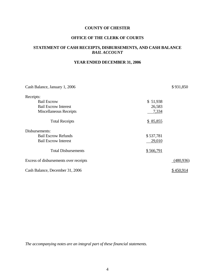# **OFFICE OF THE CLERK OF COURTS**

# **STATEMENT OF CASH RECEIPTS, DISBURSEMENTS, AND CASH BALANCE**  *BAIL ACCOUNT*

# **YEAR ENDED DECEMBER 31, 2006**

| Cash Balance, January 1, 2006         |           | \$931,850  |
|---------------------------------------|-----------|------------|
| Receipts:                             |           |            |
| <b>Bail Escrow</b>                    | \$51,938  |            |
| <b>Bail Escrow Interest</b>           | 26,583    |            |
| Miscellaneous Receipts                | 7,334     |            |
| <b>Total Receipts</b>                 | \$85,855  |            |
| Disbursements:                        |           |            |
| <b>Bail Escrow Refunds</b>            | \$537,781 |            |
| <b>Bail Escrow Interest</b>           | 29,010    |            |
| <b>Total Disbursements</b>            | \$566,791 |            |
| Excess of disbursements over receipts |           | (480, 936) |
| Cash Balance, December 31, 2006       |           | \$450,914  |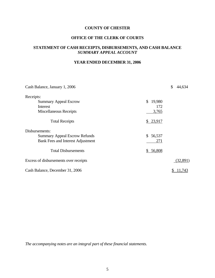# **OFFICE OF THE CLERK OF COURTS**

# **STATEMENT OF CASH RECEIPTS, DISBURSEMENTS, AND CASH BALANCE**  *SUMMARY APPEAL ACCOUNT*

# **YEAR ENDED DECEMBER 31, 2006**

| Cash Balance, January 1, 2006            |              | \$<br>44,634 |
|------------------------------------------|--------------|--------------|
| Receipts:                                |              |              |
| <b>Summary Appeal Escrow</b>             | \$<br>19,980 |              |
| Interest                                 | 172          |              |
| Miscellaneous Receipts                   | 3,765        |              |
| <b>Total Receipts</b>                    | \$23,917     |              |
| Disbursements:                           |              |              |
| <b>Summary Appeal Escrow Refunds</b>     | \$<br>56,537 |              |
| <b>Bank Fees and Interest Adjustment</b> | 271          |              |
| <b>Total Disbursements</b>               | \$56,808     |              |
| Excess of disbursements over receipts    |              | (32,891)     |
| Cash Balance, December 31, 2006          |              | 11,743       |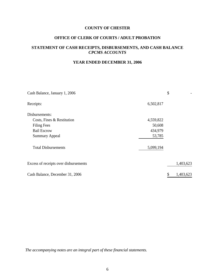# **OFFICE OF CLERK OF COURTS / ADULT PROBATION**

# **STATEMENT OF CASH RECEIPTS, DISBURSEMENTS, AND CASH BALANCE**  *CPCMS ACCOUNTS*

# **YEAR ENDED DECEMBER 31, 2006**

| Cash Balance, January 1, 2006         |           | \$              |
|---------------------------------------|-----------|-----------------|
| Receipts:                             | 6,502,817 |                 |
| Disbursements:                        |           |                 |
| Costs, Fines & Restitution            | 4,559,822 |                 |
| <b>Filing Fees</b>                    | 50,608    |                 |
| <b>Bail Escrow</b>                    | 434,979   |                 |
| <b>Summary Appeal</b>                 | 53,785    |                 |
| <b>Total Disbursements</b>            | 5,099,194 |                 |
| Excess of receipts over disbursements |           | 1,403,623       |
| Cash Balance, December 31, 2006       |           | \$<br>1,403,623 |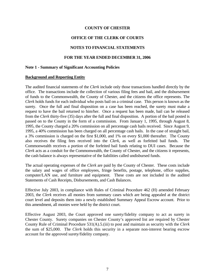#### **OFFICE OF THE CLERK OF COURTS**

#### **NOTES TO FINANCIAL STATEMENTS**

#### **FOR THE YEAR ENDED DECEMBER 31, 2006**

#### **Note 1 - Summary of Significant Accounting Policies**

#### **Background and Reporting Entity**

The audited financial statements of the *Clerk* include only those transactions handled directly by the office. The transactions include the collection of various filing fees and bail, and the disbursement of funds to the Commonwealth, the County of Chester, and the citizens the office represents. The *Clerk* holds funds for each individual who posts bail on a criminal case. This person is known as the surety. Once the full and final disposition on a case has been reached, the surety must make a request to have the bail returned to him/her. Once a request has been made, bail can be released from the *Clerk* thirty-five (35) days after the full and final disposition. A portion of the bail posted is passed on to the County in the form of a commission. From January 1, 1995, through August 8, 1995, the County charged a 20% commission on all percentage cash bails received. Since August 9, 1995, a 40% commission has been charged on all percentage cash bails. In the case of straight bail, a 3% commission is charged on the first \$1,000, and 1% on every \$1,000 thereafter. The County also receives the filing fees received into the *Clerk*, as well as forfeited bail funds. The Commonwealth receives a portion of the forfeited bail funds relating to DUI cases. Because the *Clerk* acts as a conduit for the Commonwealth, the County of Chester, and the citizens it represents, the cash balance is always representative of the liabilities called undisbursed funds.

The actual operating expenses of the *Clerk* are paid by the County of Chester. These costs include the salary and wages of office employees, fringe benefits, postage, telephone, office supplies, computer/LAN use, and furniture and equipment. These costs are not included in the audited Statements of Cash Receipts, Disbursements, and Cash Balances.

Effective July 2003, in compliance with Rules of Criminal Procedure 462 (H) amended February 2003, the *Clerk* receives all monies from summary cases which are being appealed at the district court level and deposits them into a newly established Summary Appeal Escrow account. Prior to this amendment, all monies were held by the district court.

Effective August 2003, the Court approved one surety/fidelity company to act as surety in Chester County. Surety companies on Chester County's approved list are required by Chester County Rule of Criminal Procedure 531(A).5.(iii) to post and maintain as security with the *Clerk* the sum of \$25,000. The *Clerk* holds this security in a separate non-interest bearing escrow account for the approved surety/fidelity company.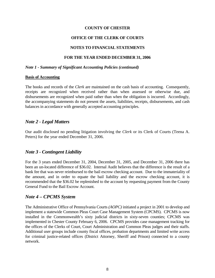#### **OFFICE OF THE CLERK OF COURTS**

#### **NOTES TO FINANCIAL STATEMENTS**

#### **FOR THE YEAR ENDED DECEMBER 31, 2006**

#### *Note 1 - Summary of Significant Accounting Policies (continued)*

#### **Basis of Accounting**

The books and records of the *Clerk* are maintained on the cash basis of accounting. Consequently, receipts are recognized when received rather than when assessed or otherwise due, and disbursements are recognized when paid rather than when the obligation is incurred. Accordingly, the accompanying statements do not present the assets, liabilities, receipts, disbursements, and cash balances in accordance with generally accepted accounting principles.

# *Note 2 - Legal Matters*

Our audit disclosed no pending litigation involving the *Clerk* or its Clerk of Courts (Teena A. Peters) for the year ended December 31, 2006.

# *Note 3 - Contingent Liability*

For the 3 years ended December 31, 2004, December 31, 2005, and December 31, 2006 there has been an un-located difference of \$36.02. Internal Audit believes that the difference is the result of a bank fee that was never reimbursed to the bail escrow checking account. Due to the immateriality of the amount, and in order to equate the bail liability and the escrow checking account, it is recommended that the \$36.02 be replenished to the account by requesting payment from the County General Fund to the Bail Escrow Account.

# *Note 4 – CPCMS System*

The Administrative Office of Pennsylvania Courts *(AOPC)* initiated a project in 2001 to develop and implement a statewide Common Pleas Court Case Management System (CPCMS). CPCMS is now installed in the Commonwealth's sixty judicial districts in sixty-seven counties; CPCMS was implemented in Chester County February 6, 2006. CPCMS provides case management tracking for the offices of the Clerks of Court, Court Administration and Common Pleas judges and their staffs. Additional user groups include county fiscal offices, probation departments and limited write access for criminal justice-related offices (District Attorney, Sheriff and Prison) connected to a county network.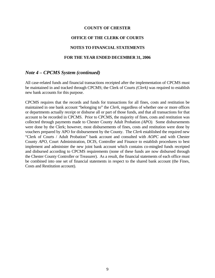#### **OFFICE OF THE CLERK OF COURTS**

#### **NOTES TO FINANCIAL STATEMENTS**

#### **FOR THE YEAR ENDED DECEMBER 31, 2006**

#### *Note 4 – CPCMS System (continued)*

All case-related funds and financial transactions receipted after the implementation of CPCMS must be maintained in and tracked through CPCMS; the Clerk of Courts *(Clerk)* was required to establish new bank accounts for this purpose.

CPCMS requires that the records and funds for transactions for all fines, costs and restitution be maintained in one bank account "belonging to" the *Clerk*, regardless of whether one or more offices or departments actually receipt or disburse all or part of those funds, and that all transactions for that account to be recorded in CPCMS. Prior to CPCMS, the majority of fines, costs and restitution was collected through payments made to Chester County Adult Probation *(APO).* Some disbursements were done by the Clerk; however, most disbursements of fines, costs and restitution were done by vouchers prepared by APO for disbursement by the County. The *Clerk* established the required new "Clerk of Courts / Adult Probation" bank account and consulted with *AOPC* and with Chester County *APO*, Court Administration, DCIS, Controller and Finance to establish procedures to best implement and administer the new joint bank account which contains co-mingled funds receipted and disbursed according to CPCMS requirements (none of these funds are now disbursed through the Chester County Controller or Treasurer). As a result, the financial statements of each office must be combined into one set of financial statements in respect to the shared bank account (the Fines, Costs and Restitution account).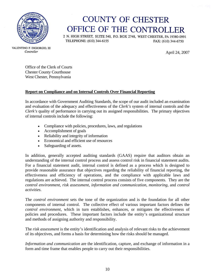

# **COUNTY OF CHESTER** OFFICE OF THE CONTROLLER

2 N. HIGH STREET, SUITE 540, P.O. BOX 2748, WEST CHESTER, PA 19380-0991 TELEPHONE: (610) 344-6155 FAX: (610) 344-6750

April 24, 2007

VALENTINO F. DIGIORGIO, III Controller

> Office of the Clerk of Courts Chester County Courthouse West Chester, Pennsylvania

# **Report on Compliance and on Internal Controls Over Financial Reporting**

In accordance with Government Auditing Standards, the scope of our audit included an examination and evaluation of the adequacy and effectiveness of the *Clerk's* system of internal controls and the *Clerk's* quality of performance in carrying out its assigned responsibilities. The primary objectives of internal controls include the following:

- Compliance with policies, procedures, laws, and regulations
- Accomplishment of goals
- Reliability and integrity of information
- Economical and efficient use of resources
- Safeguarding of assets.

In addition, generally accepted auditing standards (GAAS) require that auditors obtain an understanding of the internal control process and assess control risk in financial statement audits. For a financial statement audit, internal control is defined as a process which is designed to provide reasonable assurance that objectives regarding the reliability of financial reporting, the effectiveness and efficiency of operations, and the compliance with applicable laws and regulations are achieved. The internal control process consists of five components. They are the *control environment*, *risk assessment*, *information and communication*, *monitoring*, and *control activities*.

The *control environment* sets the tone of the organization and is the foundation for all other components of internal control. The collective effect of various important factors defines the *control environment*, which in turn establishes, enhances, or mitigates the effectiveness of policies and procedures. These important factors include the entity's organizational structure and methods of assigning authority and responsibility.

The *risk assessment* is the entity's identification and analysis of relevant risks to the achievement of its objectives, and forms a basis for determining how the risks should be managed.

*Information and communication* are the identification, capture, and exchange of information in a form and time frame that enables people to carry out their responsibilities.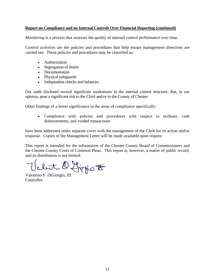#### **Report on Compliance and on Internal Controls Over Financial Reporting (continued)**

*Monitoring* is a process that assesses the quality of internal control performance over time.

*Control activities* are the policies and procedures that help ensure management directives are carried out. These policies and procedures may be classified as:

- Authorization
- Segregation of duties
- Documentation
- Physical safeguards
- Independent checks and balances.

Our audit disclosed several significant weaknesses in the internal control structure, that, in our opinion, pose a significant risk to the *Clerk* and/or to the County of Chester:

Other findings of a lesser significance in the areas of compliance specifically:

• Compliance with policies and procedures with respect to escheats, cash disbursements, and voided transactions

have been addressed under separate cover with the management of the *Clerk* for its action and/or response. Copies of the Management Letter will be made available upon request.

This report is intended for the information of the Chester County Board of Commissioners and the Chester County Court of Common Pleas. This report is, however, a matter of public record, and its distribution is not limited.

abit D. Ljogio F

Valentino F. DiGiorgio, III **Controller**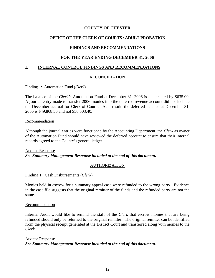#### **OFFICE OF THE CLERK OF COURTS / ADULT PROBATION**

#### **FINDINGS AND RECOMMENDATIONS**

#### **FOR THE YEAR ENDING DECEMBER 31, 2006**

#### **I. INTERNAL CONTROL FINDINGS AND RECOMMENDATIONS**

#### RECONCILIATION

#### Finding 1: Automation Fund (*Clerk*)

The balance of the *Clerk's* Automation Fund at December 31, 2006 is understated by \$635.00. A journal entry made to transfer 2006 monies into the deferred revenue account did not include the December accrual for Clerk of Courts. As a result, the deferred balance at December 31, 2006 is \$49,868.30 and not \$50,503.40.

#### Recommendation

Although the journal entries were functioned by the Accounting Department, the *Clerk* as owner of the Automation Fund should have reviewed the deferred account to ensure that their internal records agreed to the County's general ledger.

#### Auditee Response *See Summary Management Response included at the end of this document.*

#### AUTHORIZATION

#### Finding 1: Cash Disbursements (*Clerk*)

Monies held in escrow for a summary appeal case were refunded to the wrong party. Evidence in the case file suggests that the original remitter of the funds and the refunded party are not the same.

#### Recommendation

Internal Audit would like to remind the staff of the *Clerk* that escrow monies that are being refunded should only be returned to the original remitter. The original remitter can be identified from the physical receipt generated at the District Court and transferred along with monies to the *Clerk.*

#### Auditee Response *See Summary Management Response included at the end of this document.*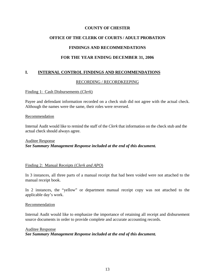# **OFFICE OF THE CLERK OF COURTS / ADULT PROBATION**

#### **FINDINGS AND RECOMMENDATIONS**

#### **FOR THE YEAR ENDING DECEMBER 31, 2006**

#### **I. INTERNAL CONTROL FINDINGS AND RECOMMENDATIONS**

#### RECORDING / RECORDKEEPING

#### Finding 1: Cash Disbursements (*Clerk*)

Payee and defendant information recorded on a check stub did not agree with the actual check. Although the names were the same, their roles were reversed.

#### Recommendation

Internal Audit would like to remind the staff of the *Clerk* that information on the check stub and the actual check should always agree.

## Auditee Response *See Summary Management Response included at the end of this document.*

#### Finding 2: Manual Receipts (*Clerk and APO*)

In 3 instances, all three parts of a manual receipt that had been voided were not attached to the manual receipt book.

In 2 instances, the "yellow" or department manual receipt copy was not attached to the applicable day's work.

#### Recommendation

Internal Audit would like to emphasize the importance of retaining all receipt and disbursement source documents in order to provide complete and accurate accounting records.

Auditee Response

*See Summary Management Response included at the end of this document.*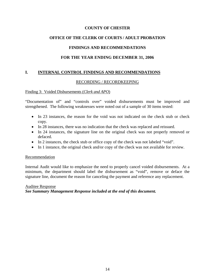# **OFFICE OF THE CLERK OF COURTS / ADULT PROBATION**

# **FINDINGS AND RECOMMENDATIONS**

# **FOR THE YEAR ENDING DECEMBER 31, 2006**

# **I. INTERNAL CONTROL FINDINGS AND RECOMMENDATIONS**

#### RECORDING / RECORDKEEPING

#### Finding 3: Voided Disbursements (*Clerk and APO*)

"Documentation of" and "controls over" voided disbursements must be improved and strengthened. The following weaknesses were noted out of a sample of 30 items tested:

- In 23 instances, the reason for the void was not indicated on the check stub or check copy.
- In 28 instances, there was no indication that the check was replaced and reissued.
- In 24 instances, the signature line on the original check was not properly removed or defaced.
- In 2 instances, the check stub or office copy of the check was not labeled "void".
- In 1 instance, the original check and/or copy of the check was not available for review.

#### Recommendation

Internal Audit would like to emphasize the need to properly cancel voided disbursements. At a minimum, the department should label the disbursement as "void", remove or deface the signature line, document the reason for canceling the payment and reference any replacement.

# Auditee Response *See Summary Management Response included at the end of this document.*